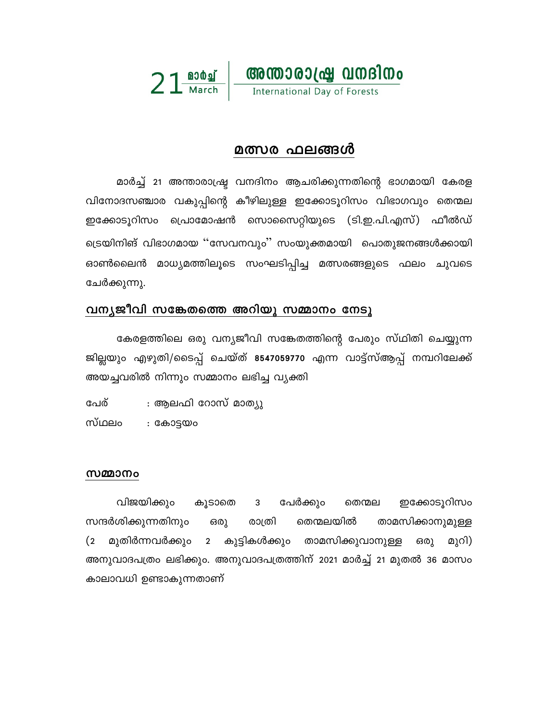

# മത്സര ഫലങ്ങൾ

മാർച്ച് 21 അന്താരാഷ്ട്ര വനദിനം ആചരിക്കുന്നതിന്റെ ഭാഗമായി കേരള വിനോദസഞ്ചാര വകുപ്പിന്റെ കീഴിലുള്ള ഇക്കോടൂറിസം വിഭാഗവും തെന്മല ഇക്കോടൂറിസം പ്രൊമോഷൻ സൊസൈറ്റിയുടെ (ടി.ഇ.പി.എസ്) ഫീൽഡ് ട്രെയിനിങ് വിഭാഗമായ ''സേവനവും'' സംയുക്തമായി പൊതുജനങ്ങൾക്കായി ഓൺലൈൻ മാധ്യമത്തിലൂടെ സംഘടിപ്പിച്ച മത്സരങ്ങളുടെ ഫലം ചുവടെ ചേർക്കുന്നു.

## വന്യജീവി സങ്കേതത്തെ അറിയൂ സമ്മാനം നേടൂ

കേരളത്തിലെ ഒരു വന്യജീവി സങ്കേതത്തിന്റെ പേരും സ്ഥിതി ചെയ്യുന്ന ജില്ലയും എഴുതി/ടൈപ്പ് ചെയ്ത് 8547059770 എന്ന വാട്ട്സ്ആപ്പ് നമ്പറിലേക്ക് അയച്ചവരിൽ നിന്നും സമ്മാനം ലഭിച്ച വ്യക്തി

: ആലഫി റോസ് മാത്യു പേര്

സ്ഥലം : കോട്ടയം

#### സമ്മാനം

വിജയിക്കും കൂടാതെ 3 പേർക്കും തെന്മല ഇക്കോടുറിസം സന്ദർശിക്കുന്നതിനും തെന്മലയിൽ താമസിക്കാനുമുള്ള ഒരു രാത്രി 2 കുട്ടികൾക്കും താമസിക്കുവാനുള്ള  $(2)$ മുതിർന്നവർക്കും മുറി) ഒരു അനുവാദപത്രം ലഭിക്കും. അനുവാദപത്രത്തിന് 2021 മാർച്ച് 21 മുതൽ 36 മാസം കാലാവധി ഉണ്ടാകുന്നതാണ്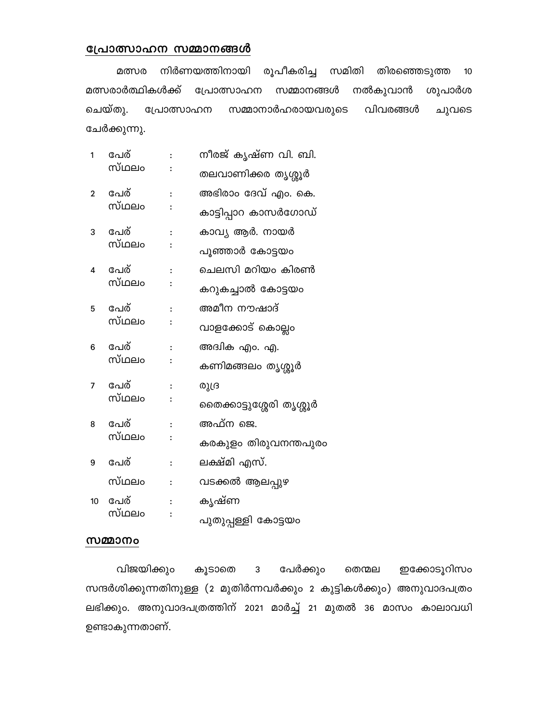#### പ്രോത്സാഹന സമ്മാനങ്ങൾ

നിർണയത്തിനായി രൂപീകരിച്ച സമിതി തിരഞ്ഞെടുത്ത മത്സര 10 മത്സരാർത്ഥികൾക്ക് പ്രോത്സാഹന സമ്മാനങ്ങൾ നൽകുവാൻ ശുപാർശ ചെയ്തു. പ്രോത്സാഹന സമ്മാനാർഹരായവരുടെ വിവരങ്ങൾ ചുവടെ ചേർക്കുന്നു.

- പേര് നീരജ് കൃഷ്ണ വി. ബി.  $\mathbf{1}$  $\ddot{\cdot}$ സ്ഥലം  $\colon$ തലവാണിക്കര തൃശ്ശൂർ
- പേര് അഭിരാം ദേവ് എം. കെ.  $\overline{2}$  $\ddot{\cdot}$ സ്ഥലം  $\colon$ കാട്ടിപ്പാറ കാസർഗോഡ്
- കാവ്യ ആർ. നായർ പേര് 3 സ്ഥലം  $\colon$
- പുഞ്ഞാർ കോട്ടയം
- പേര് ചെലസി മറിയം കിരൺ 4 സ്ഥലം  $\colon$
- കറുകച്ചാൽ കോട്ടയം
- പേര് അമീന നൗഷാദ് 5  $\ddot{\cdot}$
- സ്ഥലം  $\colon$ വാളക്കോട് കൊല്ലം
- പേര് അദ്വിക എം. എ. 6  $\ddot{\cdot}$
- സ്ഥലം  $\colon$ കണിമങ്ങലം തൃശ്ശൂർ
- പേര്  $\overline{7}$ രുദ്ര  $\colon$ സ്ഥലം
- $\colon$ തൈക്കാട്ടുശ്ശേരി തൃശ്ശൂർ
- പേര് അഫ്ന ജെ. 8  $\cdot$
- സ്ഥലം  $\ddot{\cdot}$ കരകുളം തിരുവനന്തപുരം
- പേര് ലക്ഷ്മി എസ്. 9  $\ddot{\cdot}$
- സ്ഥലം വടക്കൽ ആലപ്പുഴ  $\mathbf{.}$
- കൃഷ്ണ 10 പേര്  $\ddot{\cdot}$
- സ്ഥലം  $\colon$ പുതുപ്പള്ളി കോട്ടയം

#### സമ്മാനം

പേർക്കും വിജയിക്കും ഇക്കോടുറിസം കൂടാതെ 3 തെന്മല സന്ദർശിക്കുന്നതിനുള്ള (2 മുതിർന്നവർക്കും 2 കുട്ടികൾക്കും) അനുവാദപത്രം ലഭിക്കും. അനുവാദപത്രത്തിന് 2021 മാർച്ച് 21 മുതൽ 36 മാസം കാലാവധി ഉണ്ടാകുന്നതാണ്.